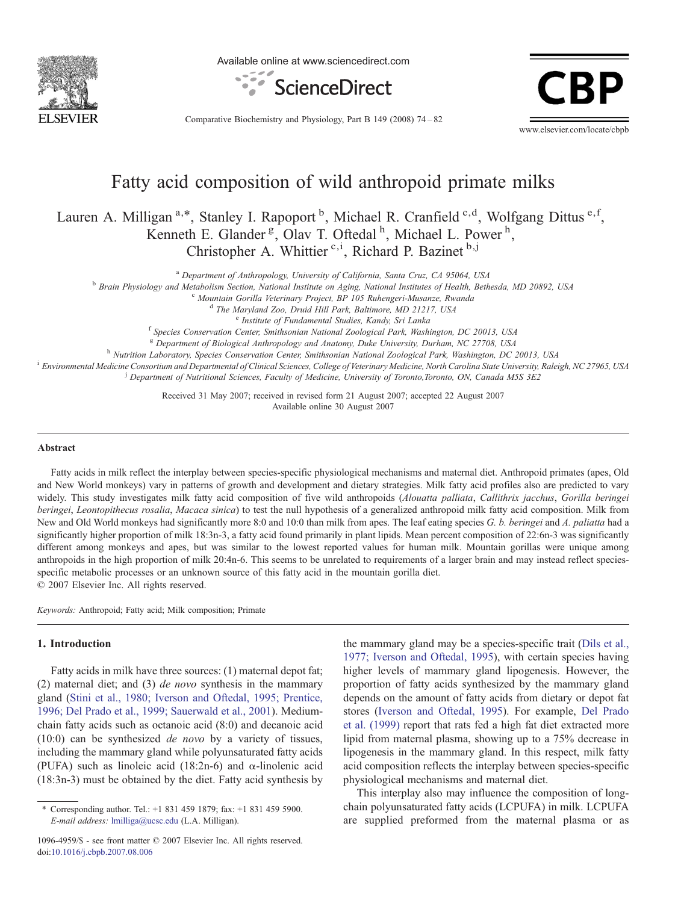

Available online at www.sciencedirect.com



Comparative Biochemistry and Physiology, Part B 149 (2008) 74–82



# Fatty acid composition of wild anthropoid primate milks

Lauren A. Milligan<sup>a,\*</sup>, Stanley I. Rapoport <sup>b</sup>, Michael R. Cranfield <sup>c,d</sup>, Wolfgang Dittus <sup>e,f</sup>, Kenneth E. Glander<sup>g</sup>, Olav T. Oftedal<sup>h</sup>, Michael L. Power<sup>h</sup>, Christopher A. Whittier  $c,i$ , Richard P. Bazinet  $b,j$ 

<sup>a</sup> Department of Anthropology, University of California, Santa Cruz, CA 95064, USA<br><sup>b</sup> Brain Physiology and Metabolism Section, National Institute on Aging, National Institutes of Health, Bethesda, MD 20892, USA<br><sup>c</sup> Mount

d The Maryland Zoo, Druid Hill Park, Baltimore, MD 21217, USA<br>e Institute of Fundamental Studies, Kandy, Sri Lanka<br><sup>f</sup> Species Conservation Center, Smithsonian National Zoological Park, Washington, DC 20013, USA

<sup>8</sup> Department of Biological Anthropology and Anatomy, Duke University, Durham, NC 27708, USA<br><sup>h</sup> Nutrition Laboratory, Species Conservation Center, Smithsonian National Zoological Park, Washington, DC 20013, USA<br><sup>i</sup> Envir

<sup>j</sup> Department of Nutritional Sciences, Faculty of Medicine, University of Toronto, Toronto, ON, Canada M5S 3E2

Received 31 May 2007; received in revised form 21 August 2007; accepted 22 August 2007 Available online 30 August 2007

#### Abstract

Fatty acids in milk reflect the interplay between species-specific physiological mechanisms and maternal diet. Anthropoid primates (apes, Old and New World monkeys) vary in patterns of growth and development and dietary strategies. Milk fatty acid profiles also are predicted to vary widely. This study investigates milk fatty acid composition of five wild anthropoids (Alouatta palliata, Callithrix jacchus, Gorilla beringei beringei, Leontopithecus rosalia, Macaca sinica) to test the null hypothesis of a generalized anthropoid milk fatty acid composition. Milk from New and Old World monkeys had significantly more 8:0 and 10:0 than milk from apes. The leaf eating species G. b. beringei and A. paliatta had a significantly higher proportion of milk 18:3n-3, a fatty acid found primarily in plant lipids. Mean percent composition of 22:6n-3 was significantly different among monkeys and apes, but was similar to the lowest reported values for human milk. Mountain gorillas were unique among anthropoids in the high proportion of milk 20:4n-6. This seems to be unrelated to requirements of a larger brain and may instead reflect speciesspecific metabolic processes or an unknown source of this fatty acid in the mountain gorilla diet. © 2007 Elsevier Inc. All rights reserved.

Keywords: Anthropoid; Fatty acid; Milk composition; Primate

### 1. Introduction

Fatty acids in milk have three sources: (1) maternal depot fat; (2) maternal diet; and (3) de novo synthesis in the mammary gland ([Stini et al., 1980; Iverson and Oftedal, 1995; Prentice,](#page-8-0) [1996; Del Prado et al., 1999; Sauerwald et al., 2001\)](#page-8-0). Mediumchain fatty acids such as octanoic acid (8:0) and decanoic acid  $(10:0)$  can be synthesized *de novo* by a variety of tissues, including the mammary gland while polyunsaturated fatty acids (PUFA) such as linoleic acid (18:2n-6) and  $\alpha$ -linolenic acid (18:3n-3) must be obtained by the diet. Fatty acid synthesis by

the mammary gland may be a species-specific trait [\(Dils et al.,](#page-8-0) [1977; Iverson and Oftedal, 1995\)](#page-8-0), with certain species having higher levels of mammary gland lipogenesis. However, the proportion of fatty acids synthesized by the mammary gland depends on the amount of fatty acids from dietary or depot fat stores [\(Iverson and Oftedal, 1995\)](#page-8-0). For example, [Del Prado](#page-7-0) [et al. \(1999\)](#page-7-0) report that rats fed a high fat diet extracted more lipid from maternal plasma, showing up to a 75% decrease in lipogenesis in the mammary gland. In this respect, milk fatty acid composition reflects the interplay between species-specific physiological mechanisms and maternal diet.

This interplay also may influence the composition of longchain polyunsaturated fatty acids (LCPUFA) in milk. LCPUFA are supplied preformed from the maternal plasma or as

<sup>⁎</sup> Corresponding author. Tel.: +1 831 459 1879; fax: +1 831 459 5900. E-mail address: [lmilliga@ucsc.edu](mailto:lmilliga@ucsc.edu) (L.A. Milligan).

<sup>1096-4959/\$ -</sup> see front matter © 2007 Elsevier Inc. All rights reserved. doi:[10.1016/j.cbpb.2007.08.006](http://dx.doi.org/10.1016/j.cbpb.2007.08.006)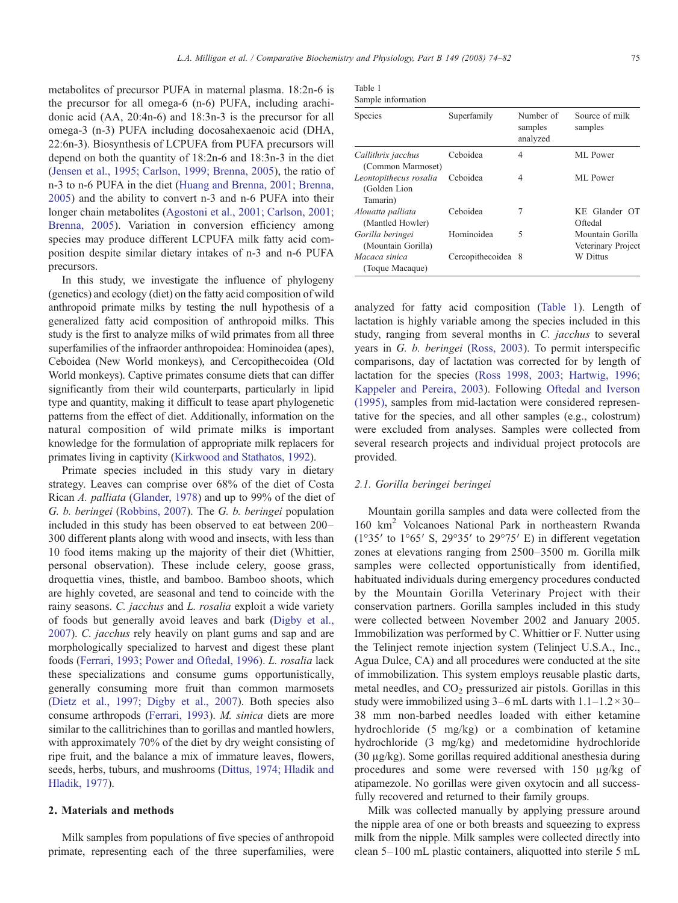metabolites of precursor PUFA in maternal plasma. 18:2n-6 is the precursor for all omega-6 (n-6) PUFA, including arachidonic acid (AA, 20:4n-6) and 18:3n-3 is the precursor for all omega-3 (n-3) PUFA including docosahexaenoic acid (DHA, 22:6n-3). Biosynthesis of LCPUFA from PUFA precursors will depend on both the quantity of 18:2n-6 and 18:3n-3 in the diet ([Jensen et al., 1995; Carlson, 1999; Brenna, 2005](#page-8-0)), the ratio of n-3 to n-6 PUFA in the diet [\(Huang and Brenna, 2001; Brenna,](#page-8-0) [2005](#page-8-0)) and the ability to convert n-3 and n-6 PUFA into their longer chain metabolites ([Agostoni et al., 2001; Carlson, 2001;](#page-7-0) [Brenna, 2005\)](#page-7-0). Variation in conversion efficiency among species may produce different LCPUFA milk fatty acid composition despite similar dietary intakes of n-3 and n-6 PUFA precursors.

In this study, we investigate the influence of phylogeny (genetics) and ecology (diet) on the fatty acid composition of wild anthropoid primate milks by testing the null hypothesis of a generalized fatty acid composition of anthropoid milks. This study is the first to analyze milks of wild primates from all three superfamilies of the infraorder anthropoidea: Hominoidea (apes), Ceboidea (New World monkeys), and Cercopithecoidea (Old World monkeys). Captive primates consume diets that can differ significantly from their wild counterparts, particularly in lipid type and quantity, making it difficult to tease apart phylogenetic patterns from the effect of diet. Additionally, information on the natural composition of wild primate milks is important knowledge for the formulation of appropriate milk replacers for primates living in captivity [\(Kirkwood and Stathatos, 1992](#page-8-0)).

Primate species included in this study vary in dietary strategy. Leaves can comprise over 68% of the diet of Costa Rican A. palliata ([Glander, 1978\)](#page-8-0) and up to 99% of the diet of G. b. beringei [\(Robbins, 2007](#page-8-0)). The G. b. beringei population included in this study has been observed to eat between 200– 300 different plants along with wood and insects, with less than 10 food items making up the majority of their diet (Whittier, personal observation). These include celery, goose grass, droquettia vines, thistle, and bamboo. Bamboo shoots, which are highly coveted, are seasonal and tend to coincide with the rainy seasons. C. jacchus and L. rosalia exploit a wide variety of foods but generally avoid leaves and bark [\(Digby et al.,](#page-8-0) [2007](#page-8-0)). C. jacchus rely heavily on plant gums and sap and are morphologically specialized to harvest and digest these plant foods ([Ferrari, 1993; Power and Oftedal, 1996\)](#page-8-0). L. rosalia lack these specializations and consume gums opportunistically, generally consuming more fruit than common marmosets ([Dietz et al., 1997; Digby et al., 2007\)](#page-8-0). Both species also consume arthropods ([Ferrari, 1993\)](#page-8-0). M. sinica diets are more similar to the callitrichines than to gorillas and mantled howlers, with approximately 70% of the diet by dry weight consisting of ripe fruit, and the balance a mix of immature leaves, flowers, seeds, herbs, tuburs, and mushrooms ([Dittus, 1974; Hladik and](#page-8-0) [Hladik, 1977\)](#page-8-0).

### 2. Materials and methods

Milk samples from populations of five species of anthropoid primate, representing each of the three superfamilies, were

| Table 1 |                    |
|---------|--------------------|
|         | Sample information |

| Species                                            | Superfamily        | Number of<br>samples<br>analyzed | Source of milk<br>samples              |
|----------------------------------------------------|--------------------|----------------------------------|----------------------------------------|
| Callithrix jacchus<br>(Common Marmoset)            | Ceboidea           | 4                                | ML Power                               |
| Leontopithecus rosalia<br>(Golden Lion<br>Tamarin) | Ceboidea           | 4                                | ML Power                               |
| Alouatta palliata<br>(Mantled Howler)              | Ceboidea           | 7                                | KE Glander OT<br>Oftedal               |
| Gorilla beringei<br>(Mountain Gorilla)             | Hominoidea         | 5                                | Mountain Gorilla<br>Veterinary Project |
| Macaca sinica<br>(Toque Macaque)                   | Cercopithecoidea 8 |                                  | W Dittus                               |

analyzed for fatty acid composition (Table 1). Length of lactation is highly variable among the species included in this study, ranging from several months in C. jacchus to several years in G. b. beringei ([Ross, 2003\)](#page-8-0). To permit interspecific comparisons, day of lactation was corrected for by length of lactation for the species ([Ross 1998, 2003; Hartwig, 1996;](#page-8-0) [Kappeler and Pereira, 2003](#page-8-0)). Following [Oftedal and Iverson](#page-8-0) [\(1995\),](#page-8-0) samples from mid-lactation were considered representative for the species, and all other samples (e.g., colostrum) were excluded from analyses. Samples were collected from several research projects and individual project protocols are provided.

#### 2.1. Gorilla beringei beringei

Mountain gorilla samples and data were collected from the 160 km<sup>2</sup> Volcanoes National Park in northeastern Rwanda ( $1^{\circ}35'$  to  $1^{\circ}65'$  S,  $29^{\circ}35'$  to  $29^{\circ}75'$  E) in different vegetation zones at elevations ranging from 2500–3500 m. Gorilla milk samples were collected opportunistically from identified, habituated individuals during emergency procedures conducted by the Mountain Gorilla Veterinary Project with their conservation partners. Gorilla samples included in this study were collected between November 2002 and January 2005. Immobilization was performed by C. Whittier or F. Nutter using the Telinject remote injection system (Telinject U.S.A., Inc., Agua Dulce, CA) and all procedures were conducted at the site of immobilization. This system employs reusable plastic darts, metal needles, and  $CO<sub>2</sub>$  pressurized air pistols. Gorillas in this study were immobilized using  $3-6$  mL darts with  $1.1-1.2 \times 30-$ 38 mm non-barbed needles loaded with either ketamine hydrochloride (5 mg/kg) or a combination of ketamine hydrochloride (3 mg/kg) and medetomidine hydrochloride (30 μg/kg). Some gorillas required additional anesthesia during procedures and some were reversed with 150 μg/kg of atipamezole. No gorillas were given oxytocin and all successfully recovered and returned to their family groups.

Milk was collected manually by applying pressure around the nipple area of one or both breasts and squeezing to express milk from the nipple. Milk samples were collected directly into clean 5–100 mL plastic containers, aliquotted into sterile 5 mL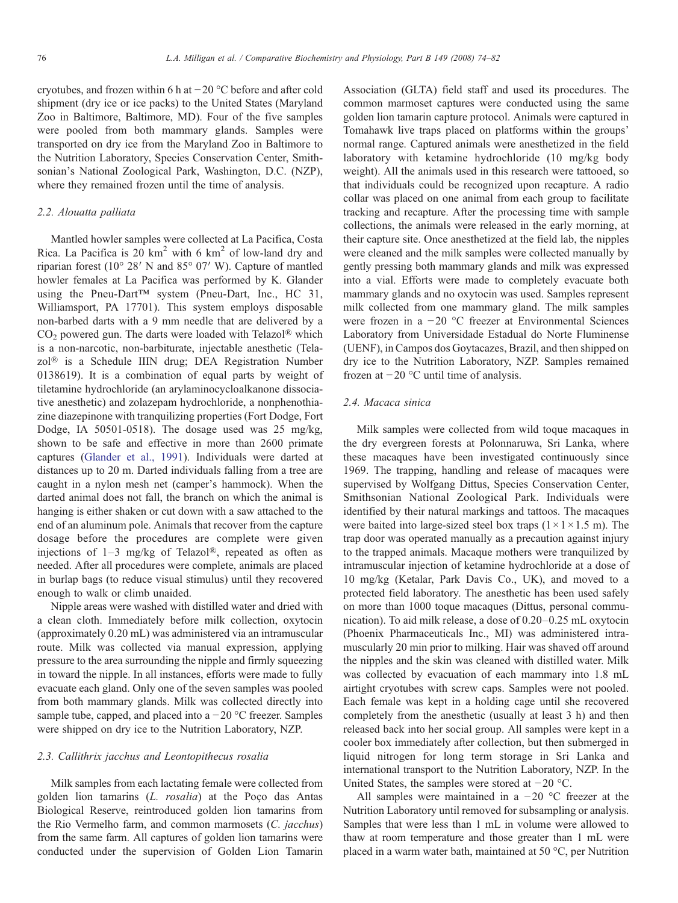cryotubes, and frozen within 6 h at −20 °C before and after cold shipment (dry ice or ice packs) to the United States (Maryland Zoo in Baltimore, Baltimore, MD). Four of the five samples were pooled from both mammary glands. Samples were transported on dry ice from the Maryland Zoo in Baltimore to the Nutrition Laboratory, Species Conservation Center, Smithsonian's National Zoological Park, Washington, D.C. (NZP), where they remained frozen until the time of analysis.

# 2.2. Alouatta palliata

Mantled howler samples were collected at La Pacifica, Costa Rica. La Pacifica is  $20 \text{ km}^2$  with 6 km<sup>2</sup> of low-land dry and riparian forest (10° 28′ N and 85° 07′ W). Capture of mantled howler females at La Pacifica was performed by K. Glander using the Pneu-Dart™ system (Pneu-Dart, Inc., HC 31, Williamsport, PA 17701). This system employs disposable non-barbed darts with a 9 mm needle that are delivered by a  $CO<sub>2</sub>$  powered gun. The darts were loaded with Telazol<sup>®</sup> which is a non-narcotic, non-barbiturate, injectable anesthetic (Telazol® is a Schedule IIIN drug; DEA Registration Number 0138619). It is a combination of equal parts by weight of tiletamine hydrochloride (an arylaminocycloalkanone dissociative anesthetic) and zolazepam hydrochloride, a nonphenothiazine diazepinone with tranquilizing properties (Fort Dodge, Fort Dodge, IA 50501-0518). The dosage used was 25 mg/kg, shown to be safe and effective in more than 2600 primate captures [\(Glander et al., 1991](#page-8-0)). Individuals were darted at distances up to 20 m. Darted individuals falling from a tree are caught in a nylon mesh net (camper's hammock). When the darted animal does not fall, the branch on which the animal is hanging is either shaken or cut down with a saw attached to the end of an aluminum pole. Animals that recover from the capture dosage before the procedures are complete were given injections of  $1-3$  mg/kg of Telazol®, repeated as often as needed. After all procedures were complete, animals are placed in burlap bags (to reduce visual stimulus) until they recovered enough to walk or climb unaided.

Nipple areas were washed with distilled water and dried with a clean cloth. Immediately before milk collection, oxytocin (approximately 0.20 mL) was administered via an intramuscular route. Milk was collected via manual expression, applying pressure to the area surrounding the nipple and firmly squeezing in toward the nipple. In all instances, efforts were made to fully evacuate each gland. Only one of the seven samples was pooled from both mammary glands. Milk was collected directly into sample tube, capped, and placed into a  $-20$  °C freezer. Samples were shipped on dry ice to the Nutrition Laboratory, NZP.

## 2.3. Callithrix jacchus and Leontopithecus rosalia

Milk samples from each lactating female were collected from golden lion tamarins (L. rosalia) at the Poço das Antas Biological Reserve, reintroduced golden lion tamarins from the Rio Vermelho farm, and common marmosets (C. jacchus) from the same farm. All captures of golden lion tamarins were conducted under the supervision of Golden Lion Tamarin

Association (GLTA) field staff and used its procedures. The common marmoset captures were conducted using the same golden lion tamarin capture protocol. Animals were captured in Tomahawk live traps placed on platforms within the groups' normal range. Captured animals were anesthetized in the field laboratory with ketamine hydrochloride (10 mg/kg body weight). All the animals used in this research were tattooed, so that individuals could be recognized upon recapture. A radio collar was placed on one animal from each group to facilitate tracking and recapture. After the processing time with sample collections, the animals were released in the early morning, at their capture site. Once anesthetized at the field lab, the nipples were cleaned and the milk samples were collected manually by gently pressing both mammary glands and milk was expressed into a vial. Efforts were made to completely evacuate both mammary glands and no oxytocin was used. Samples represent milk collected from one mammary gland. The milk samples were frozen in a −20 °C freezer at Environmental Sciences Laboratory from Universidade Estadual do Norte Fluminense (UENF), in Campos dos Goytacazes, Brazil, and then shipped on dry ice to the Nutrition Laboratory, NZP. Samples remained frozen at −20 °C until time of analysis.

## 2.4. Macaca sinica

Milk samples were collected from wild toque macaques in the dry evergreen forests at Polonnaruwa, Sri Lanka, where these macaques have been investigated continuously since 1969. The trapping, handling and release of macaques were supervised by Wolfgang Dittus, Species Conservation Center, Smithsonian National Zoological Park. Individuals were identified by their natural markings and tattoos. The macaques were baited into large-sized steel box traps  $(1 \times 1 \times 1.5 \text{ m})$ . The trap door was operated manually as a precaution against injury to the trapped animals. Macaque mothers were tranquilized by intramuscular injection of ketamine hydrochloride at a dose of 10 mg/kg (Ketalar, Park Davis Co., UK), and moved to a protected field laboratory. The anesthetic has been used safely on more than 1000 toque macaques (Dittus, personal communication). To aid milk release, a dose of 0.20–0.25 mL oxytocin (Phoenix Pharmaceuticals Inc., MI) was administered intramuscularly 20 min prior to milking. Hair was shaved off around the nipples and the skin was cleaned with distilled water. Milk was collected by evacuation of each mammary into 1.8 mL airtight cryotubes with screw caps. Samples were not pooled. Each female was kept in a holding cage until she recovered completely from the anesthetic (usually at least 3 h) and then released back into her social group. All samples were kept in a cooler box immediately after collection, but then submerged in liquid nitrogen for long term storage in Sri Lanka and international transport to the Nutrition Laboratory, NZP. In the United States, the samples were stored at −20 °C.

All samples were maintained in a  $-20$  °C freezer at the Nutrition Laboratory until removed for subsampling or analysis. Samples that were less than 1 mL in volume were allowed to thaw at room temperature and those greater than 1 mL were placed in a warm water bath, maintained at 50 °C, per Nutrition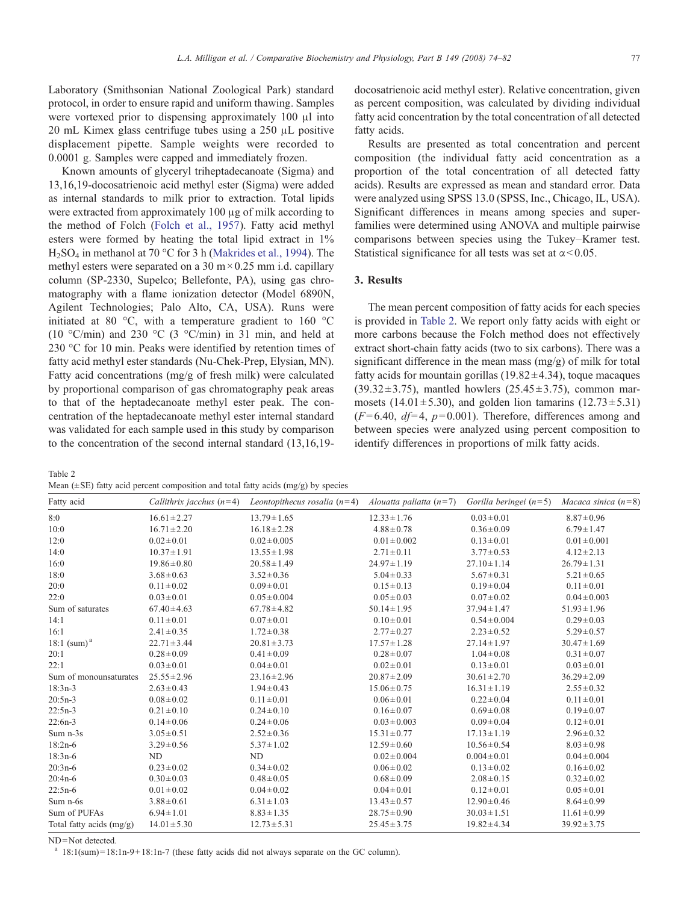Laboratory (Smithsonian National Zoological Park) standard protocol, in order to ensure rapid and uniform thawing. Samples were vortexed prior to dispensing approximately 100 μl into 20 mL Kimex glass centrifuge tubes using a 250 μL positive displacement pipette. Sample weights were recorded to 0.0001 g. Samples were capped and immediately frozen.

Known amounts of glyceryl triheptadecanoate (Sigma) and 13,16,19-docosatrienoic acid methyl ester (Sigma) were added as internal standards to milk prior to extraction. Total lipids were extracted from approximately 100 μg of milk according to the method of Folch ([Folch et al., 1957\)](#page-8-0). Fatty acid methyl esters were formed by heating the total lipid extract in 1% H<sub>2</sub>SO<sub>4</sub> in methanol at 70 °C for 3 h [\(Makrides et al., 1994](#page-8-0)). The methyl esters were separated on a 30 m $\times$  0.25 mm i.d. capillary column (SP-2330, Supelco; Bellefonte, PA), using gas chromatography with a flame ionization detector (Model 6890N, Agilent Technologies; Palo Alto, CA, USA). Runs were initiated at 80 °C, with a temperature gradient to 160 °C (10 °C/min) and 230 °C (3 °C/min) in 31 min, and held at 230 °C for 10 min. Peaks were identified by retention times of fatty acid methyl ester standards (Nu-Chek-Prep, Elysian, MN). Fatty acid concentrations (mg/g of fresh milk) were calculated by proportional comparison of gas chromatography peak areas to that of the heptadecanoate methyl ester peak. The concentration of the heptadecanoate methyl ester internal standard was validated for each sample used in this study by comparison to the concentration of the second internal standard (13,16,19-

Table 2

| Mean $(\pm SE)$ fatty acid percent composition and total fatty acids $(mg/g)$ by species |  |  |  |
|------------------------------------------------------------------------------------------|--|--|--|
|------------------------------------------------------------------------------------------|--|--|--|

docosatrienoic acid methyl ester). Relative concentration, given as percent composition, was calculated by dividing individual fatty acid concentration by the total concentration of all detected fatty acids.

Results are presented as total concentration and percent composition (the individual fatty acid concentration as a proportion of the total concentration of all detected fatty acids). Results are expressed as mean and standard error. Data were analyzed using SPSS 13.0 (SPSS, Inc., Chicago, IL, USA). Significant differences in means among species and superfamilies were determined using ANOVA and multiple pairwise comparisons between species using the Tukey–Kramer test. Statistical significance for all tests was set at  $\alpha$  < 0.05.

# 3. Results

The mean percent composition of fatty acids for each species is provided in Table 2. We report only fatty acids with eight or more carbons because the Folch method does not effectively extract short-chain fatty acids (two to six carbons). There was a significant difference in the mean mass  $(mg/g)$  of milk for total fatty acids for mountain gorillas  $(19.82 \pm 4.34)$ , toque macaques  $(39.32 \pm 3.75)$ , mantled howlers  $(25.45 \pm 3.75)$ , common marmosets  $(14.01 \pm 5.30)$ , and golden lion tamarins  $(12.73 \pm 5.31)$  $(F= 6.40, df= 4, p= 0.001)$ . Therefore, differences among and between species were analyzed using percent composition to identify differences in proportions of milk fatty acids.

| Fatty acid                 |                  | Callithrix jacchus (n=4) Leontopithecus rosalia (n=4) Alouatta paliatta (n=7) |                  | Gorilla beringei $(n=5)$ | Macaca sinica $(n=8)$ |
|----------------------------|------------------|-------------------------------------------------------------------------------|------------------|--------------------------|-----------------------|
| 8:0                        | $16.61 \pm 2.27$ | $13.79 \pm 1.65$                                                              | $12.33 \pm 1.76$ | $0.03 \pm 0.01$          | $8.87 \pm 0.96$       |
| 10:0                       | $16.71 \pm 2.20$ | $16.18 \pm 2.28$                                                              | $4.88 \pm 0.78$  | $0.36 \pm 0.09$          | $6.79 \pm 1.47$       |
| 12:0                       | $0.02 \pm 0.01$  | $0.02 \pm 0.005$                                                              | $0.01 \pm 0.002$ | $0.13 \pm 0.01$          | $0.01 \pm 0.001$      |
| 14:0                       | $10.37 \pm 1.91$ | $13.55 \pm 1.98$                                                              | $2.71 \pm 0.11$  | $3.77 \pm 0.53$          | $4.12 \pm 2.13$       |
| 16:0                       | $19.86 \pm 0.80$ | $20.58 \pm 1.49$                                                              | $24.97 \pm 1.19$ | $27.10 \pm 1.14$         | $26.79 \pm 1.31$      |
| 18:0                       | $3.68 \pm 0.63$  | $3.52 \pm 0.36$                                                               | $5.04 \pm 0.33$  | $5.67 \pm 0.31$          | $5.21 \pm 0.65$       |
| 20:0                       | $0.11 \pm 0.02$  | $0.09 \pm 0.01$                                                               | $0.15 \pm 0.13$  | $0.19 \pm 0.04$          | $0.11 \pm 0.01$       |
| 22:0                       | $0.03 \pm 0.01$  | $0.05 \pm 0.004$                                                              | $0.05 \pm 0.03$  | $0.07 \pm 0.02$          | $0.04 \pm 0.003$      |
| Sum of saturates           | $67.40 \pm 4.63$ | $67.78 \pm 4.82$                                                              | $50.14 \pm 1.95$ | $37.94 \pm 1.47$         | $51.93 \pm 1.96$      |
| 14:1                       | $0.11 \pm 0.01$  | $0.07 \pm 0.01$                                                               | $0.10 \pm 0.01$  | $0.54 \pm 0.004$         | $0.29 \pm 0.03$       |
| 16:1                       | $2.41 \pm 0.35$  | $1.72 \pm 0.38$                                                               | $2.77 \pm 0.27$  | $2.23 \pm 0.52$          | $5.29 \pm 0.57$       |
| 18:1 $(sum)^a$             | $22.71 \pm 3.44$ | $20.81 \pm 3.73$                                                              | $17.57 \pm 1.28$ | $27.14 \pm 1.97$         | $30.47 \pm 1.69$      |
| 20:1                       | $0.28 \pm 0.09$  | $0.41 \pm 0.09$                                                               | $0.28 \pm 0.07$  | $1.04 \pm 0.08$          | $0.31 \pm 0.07$       |
| 22:1                       | $0.03 \pm 0.01$  | $0.04 \pm 0.01$                                                               | $0.02 \pm 0.01$  | $0.13 \pm 0.01$          | $0.03 \pm 0.01$       |
| Sum of monounsaturates     | $25.55 \pm 2.96$ | $23.16 \pm 2.96$                                                              | $20.87 \pm 2.09$ | $30.61 \pm 2.70$         | $36.29 \pm 2.09$      |
| $18:3n-3$                  | $2.63 \pm 0.43$  | $1.94 \pm 0.43$                                                               | $15.06 \pm 0.75$ | $16.31 \pm 1.19$         | $2.55 \pm 0.32$       |
| $20:5n-3$                  | $0.08 \pm 0.02$  | $0.11 \pm 0.01$                                                               | $0.06 \pm 0.01$  | $0.22 \pm 0.04$          | $0.11 \pm 0.01$       |
| $22:5n-3$                  | $0.21 \pm 0.10$  | $0.24 \pm 0.10$                                                               | $0.16 \pm 0.07$  | $0.69 \pm 0.08$          | $0.19 \pm 0.07$       |
| $22:6n-3$                  | $0.14 \pm 0.06$  | $0.24 \pm 0.06$                                                               | $0.03 \pm 0.003$ | $0.09 \pm 0.04$          | $0.12 \pm 0.01$       |
| Sum n-3s                   | $3.05 \pm 0.51$  | $2.52 \pm 0.36$                                                               | $15.31 \pm 0.77$ | $17.13 \pm 1.19$         | $2.96 \pm 0.32$       |
| $18:2n-6$                  | $3.29 \pm 0.56$  | $5.37 \pm 1.02$                                                               | $12.59 \pm 0.60$ | $10.56 \pm 0.54$         | $8.03 \pm 0.98$       |
| $18:3n-6$                  | ND               | ND                                                                            | $0.02 \pm 0.004$ | $0.004 \pm 0.01$         | $0.04 \pm 0.004$      |
| $20:3n-6$                  | $0.23 \pm 0.02$  | $0.34 \pm 0.02$                                                               | $0.06 \pm 0.02$  | $0.13 \pm 0.02$          | $0.16 \pm 0.02$       |
| $20:4n-6$                  | $0.30 \pm 0.03$  | $0.48 \pm 0.05$                                                               | $0.68 \pm 0.09$  | $2.08 \pm 0.15$          | $0.32 \pm 0.02$       |
| $22:5n-6$                  | $0.01 \pm 0.02$  | $0.04 \pm 0.02$                                                               | $0.04 \pm 0.01$  | $0.12 \pm 0.01$          | $0.05 \pm 0.01$       |
| Sum n-6s                   | $3.88 \pm 0.61$  | $6.31 \pm 1.03$                                                               | $13.43 \pm 0.57$ | $12.90 \pm 0.46$         | $8.64 \pm 0.99$       |
| Sum of PUFAs               | $6.94 \pm 1.01$  | $8.83 \pm 1.35$                                                               | $28.75 \pm 0.90$ | $30.03 \pm 1.51$         | $11.61 \pm 0.99$      |
| Total fatty acids $(mg/g)$ | $14.01 \pm 5.30$ | $12.73 \pm 5.31$                                                              | $25.45 \pm 3.75$ | $19.82 \pm 4.34$         | $39.92 \pm 3.75$      |

ND=Not detected.

 $a$  18:1(sum) = 18:1n-9 + 18:1n-7 (these fatty acids did not always separate on the GC column).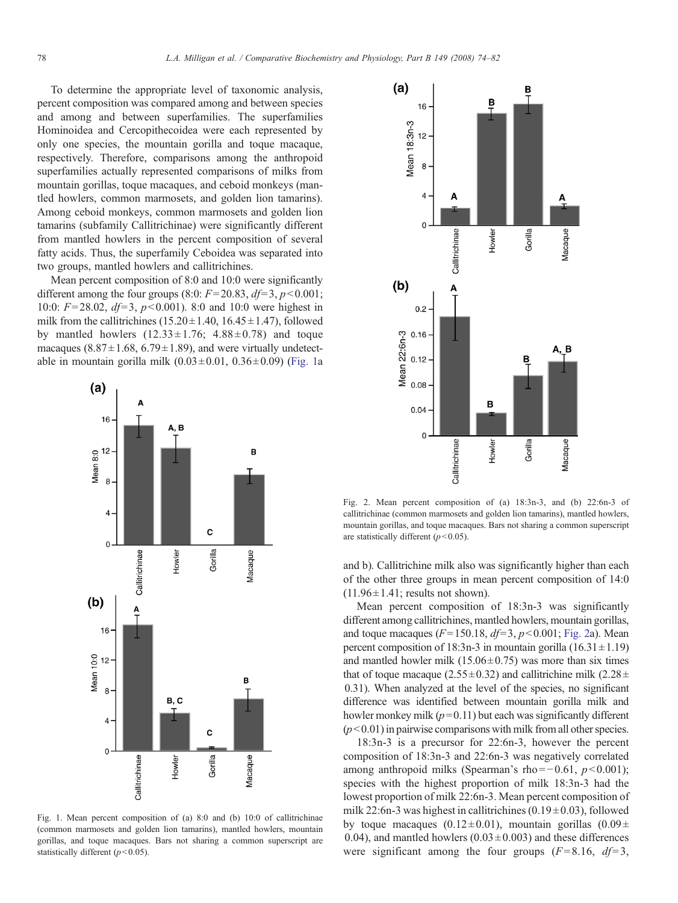<span id="page-4-0"></span>To determine the appropriate level of taxonomic analysis, percent composition was compared among and between species and among and between superfamilies. The superfamilies Hominoidea and Cercopithecoidea were each represented by only one species, the mountain gorilla and toque macaque, respectively. Therefore, comparisons among the anthropoid superfamilies actually represented comparisons of milks from mountain gorillas, toque macaques, and ceboid monkeys (mantled howlers, common marmosets, and golden lion tamarins). Among ceboid monkeys, common marmosets and golden lion tamarins (subfamily Callitrichinae) were significantly different from mantled howlers in the percent composition of several fatty acids. Thus, the superfamily Ceboidea was separated into two groups, mantled howlers and callitrichines.

Mean percent composition of 8:0 and 10:0 were significantly different among the four groups (8:0:  $F = 20.83$ ,  $df = 3$ ,  $p < 0.001$ ; 10:0:  $F = 28.02$ ,  $df = 3$ ,  $p < 0.001$ ). 8:0 and 10:0 were highest in milk from the callitrichines ( $15.20 \pm 1.40$ ,  $16.45 \pm 1.47$ ), followed by mantled howlers  $(12.33 \pm 1.76; 4.88 \pm 0.78)$  and toque macaques (8.87 $\pm$ 1.68, 6.79 $\pm$ 1.89), and were virtually undetectable in mountain gorilla milk  $(0.03 \pm 0.01, 0.36 \pm 0.09)$  (Fig. 1a



Fig. 1. Mean percent composition of (a) 8:0 and (b) 10:0 of callitrichinae (common marmosets and golden lion tamarins), mantled howlers, mountain gorillas, and toque macaques. Bars not sharing a common superscript are statistically different ( $p<0.05$ ).



Fig. 2. Mean percent composition of (a) 18:3n-3, and (b) 22:6n-3 of callitrichinae (common marmosets and golden lion tamarins), mantled howlers, mountain gorillas, and toque macaques. Bars not sharing a common superscript are statistically different  $(p<0.05)$ .

and b). Callitrichine milk also was significantly higher than each of the other three groups in mean percent composition of 14:0  $(11.96 \pm 1.41;$  results not shown).

Mean percent composition of 18:3n-3 was significantly different among callitrichines, mantled howlers, mountain gorillas, and toque macaques ( $F= 150.18$ ,  $df= 3$ ,  $p<0.001$ ; Fig. 2a). Mean percent composition of 18:3n-3 in mountain gorilla  $(16.31 \pm 1.19)$ and mantled howler milk  $(15.06 \pm 0.75)$  was more than six times that of toque macaque (2.55 $\pm$ 0.32) and callitrichine milk (2.28 $\pm$ 0.31). When analyzed at the level of the species, no significant difference was identified between mountain gorilla milk and howler monkey milk  $(p= 0.11)$  but each was significantly different  $(p<0.01)$  in pairwise comparisons with milk from all other species.

18:3n-3 is a precursor for 22:6n-3, however the percent composition of 18:3n-3 and 22:6n-3 was negatively correlated among anthropoid milks (Spearman's rho =  $-0.61$ ,  $p < 0.001$ ); species with the highest proportion of milk 18:3n-3 had the lowest proportion of milk 22:6n-3. Mean percent composition of milk 22:6n-3 was highest in callitrichines  $(0.19 \pm 0.03)$ , followed by toque macaques (0.12 $\pm$ 0.01), mountain gorillas (0.09 $\pm$ 0.04), and mantled howlers  $(0.03 \pm 0.003)$  and these differences were significant among the four groups  $(F= 8.16, df= 3,$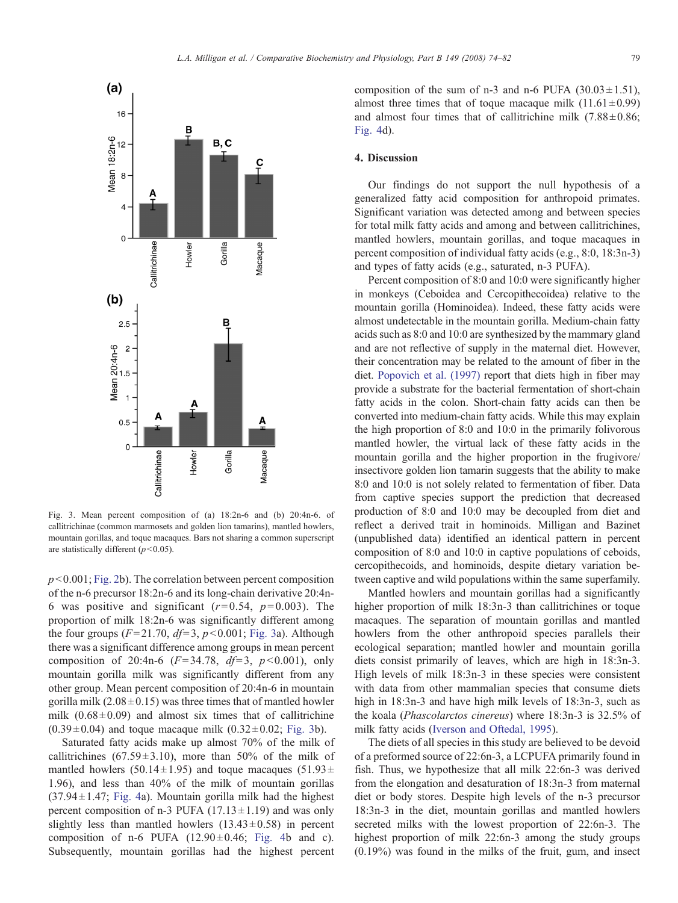

Fig. 3. Mean percent composition of (a) 18:2n-6 and (b) 20:4n-6. of callitrichinae (common marmosets and golden lion tamarins), mantled howlers, mountain gorillas, and toque macaques. Bars not sharing a common superscript are statistically different ( $p<0.05$ ).

 $p<0.001$ ; [Fig. 2b](#page-4-0)). The correlation between percent composition of the n-6 precursor 18:2n-6 and its long-chain derivative 20:4n-6 was positive and significant  $(r= 0.54, p= 0.003)$ . The proportion of milk 18:2n-6 was significantly different among the four groups ( $F = 21.70$ ,  $df = 3$ ,  $p < 0.001$ ; Fig. 3a). Although there was a significant difference among groups in mean percent composition of 20:4n-6  $(F= 34.78, df=3, p<0.001)$ , only mountain gorilla milk was significantly different from any other group. Mean percent composition of 20:4n-6 in mountain gorilla milk  $(2.08 \pm 0.15)$  was three times that of mantled howler milk  $(0.68 \pm 0.09)$  and almost six times that of callitrichine  $(0.39 \pm 0.04)$  and toque macaque milk  $(0.32 \pm 0.02;$  Fig. 3b).

Saturated fatty acids make up almost 70% of the milk of callitrichines (67.59 $\pm$ 3.10), more than 50% of the milk of mantled howlers (50.14 $\pm$ 1.95) and toque macaques (51.93 $\pm$ 1.96), and less than 40% of the milk of mountain gorillas  $(37.94 \pm 1.47;$  [Fig. 4](#page-6-0)a). Mountain gorilla milk had the highest percent composition of n-3 PUFA  $(17.13 \pm 1.19)$  and was only slightly less than mantled howlers  $(13.43 \pm 0.58)$  in percent composition of n-6 PUFA  $(12.90 \pm 0.46;$  [Fig. 4](#page-6-0)b and c). Subsequently, mountain gorillas had the highest percent

composition of the sum of n-3 and n-6 PUFA  $(30.03 \pm 1.51)$ , almost three times that of toque macaque milk  $(11.61 \pm 0.99)$ and almost four times that of callitrichine milk  $(7.88 \pm 0.86)$ ; [Fig. 4d](#page-6-0)).

## 4. Discussion

Our findings do not support the null hypothesis of a generalized fatty acid composition for anthropoid primates. Significant variation was detected among and between species for total milk fatty acids and among and between callitrichines, mantled howlers, mountain gorillas, and toque macaques in percent composition of individual fatty acids (e.g., 8:0, 18:3n-3) and types of fatty acids (e.g., saturated, n-3 PUFA).

Percent composition of 8:0 and 10:0 were significantly higher in monkeys (Ceboidea and Cercopithecoidea) relative to the mountain gorilla (Hominoidea). Indeed, these fatty acids were almost undetectable in the mountain gorilla. Medium-chain fatty acids such as 8:0 and 10:0 are synthesized by the mammary gland and are not reflective of supply in the maternal diet. However, their concentration may be related to the amount of fiber in the diet. [Popovich et al. \(1997\)](#page-8-0) report that diets high in fiber may provide a substrate for the bacterial fermentation of short-chain fatty acids in the colon. Short-chain fatty acids can then be converted into medium-chain fatty acids. While this may explain the high proportion of 8:0 and 10:0 in the primarily folivorous mantled howler, the virtual lack of these fatty acids in the mountain gorilla and the higher proportion in the frugivore/ insectivore golden lion tamarin suggests that the ability to make 8:0 and 10:0 is not solely related to fermentation of fiber. Data from captive species support the prediction that decreased production of 8:0 and 10:0 may be decoupled from diet and reflect a derived trait in hominoids. Milligan and Bazinet (unpublished data) identified an identical pattern in percent composition of 8:0 and 10:0 in captive populations of ceboids, cercopithecoids, and hominoids, despite dietary variation between captive and wild populations within the same superfamily.

Mantled howlers and mountain gorillas had a significantly higher proportion of milk 18:3n-3 than callitrichines or toque macaques. The separation of mountain gorillas and mantled howlers from the other anthropoid species parallels their ecological separation; mantled howler and mountain gorilla diets consist primarily of leaves, which are high in 18:3n-3. High levels of milk 18:3n-3 in these species were consistent with data from other mammalian species that consume diets high in 18:3n-3 and have high milk levels of 18:3n-3, such as the koala (Phascolarctos cinereus) where 18:3n-3 is 32.5% of milk fatty acids [\(Iverson and Oftedal, 1995](#page-8-0)).

The diets of all species in this study are believed to be devoid of a preformed source of 22:6n-3, a LCPUFA primarily found in fish. Thus, we hypothesize that all milk 22:6n-3 was derived from the elongation and desaturation of 18:3n-3 from maternal diet or body stores. Despite high levels of the n-3 precursor 18:3n-3 in the diet, mountain gorillas and mantled howlers secreted milks with the lowest proportion of 22:6n-3. The highest proportion of milk 22:6n-3 among the study groups (0.19%) was found in the milks of the fruit, gum, and insect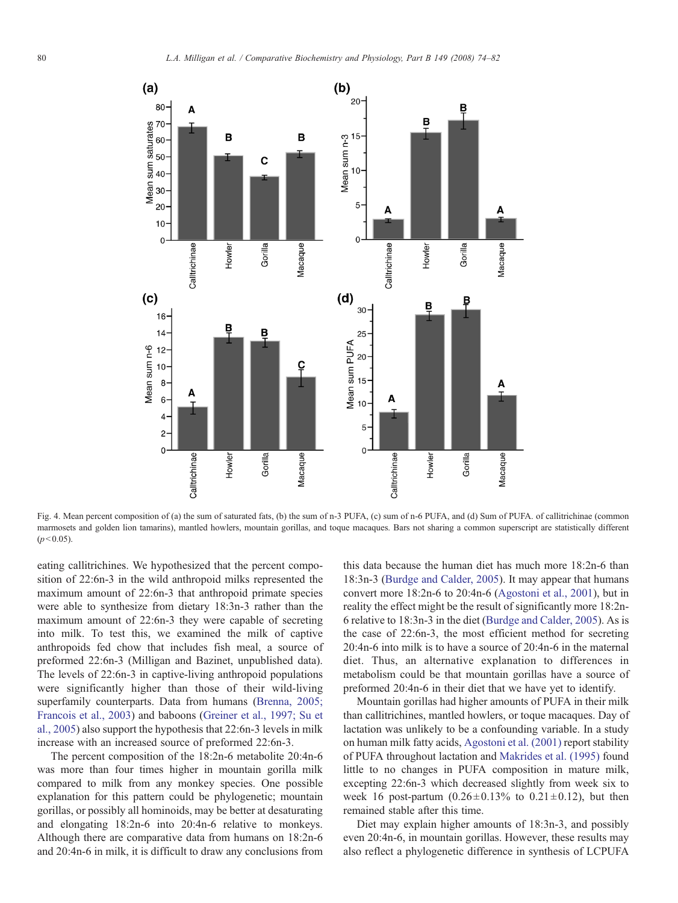<span id="page-6-0"></span>

Fig. 4. Mean percent composition of (a) the sum of saturated fats, (b) the sum of n-3 PUFA, (c) sum of n-6 PUFA, and (d) Sum of PUFA. of callitrichinae (common marmosets and golden lion tamarins), mantled howlers, mountain gorillas, and toque macaques. Bars not sharing a common superscript are statistically different  $(p<0.05)$ .

eating callitrichines. We hypothesized that the percent composition of 22:6n-3 in the wild anthropoid milks represented the maximum amount of 22:6n-3 that anthropoid primate species were able to synthesize from dietary 18:3n-3 rather than the maximum amount of 22:6n-3 they were capable of secreting into milk. To test this, we examined the milk of captive anthropoids fed chow that includes fish meal, a source of preformed 22:6n-3 (Milligan and Bazinet, unpublished data). The levels of 22:6n-3 in captive-living anthropoid populations were significantly higher than those of their wild-living superfamily counterparts. Data from humans [\(Brenna, 2005;](#page-7-0) [Francois et al., 2003](#page-7-0)) and baboons ([Greiner et al., 1997; Su et](#page-8-0) [al., 2005\)](#page-8-0) also support the hypothesis that 22:6n-3 levels in milk increase with an increased source of preformed 22:6n-3.

The percent composition of the 18:2n-6 metabolite 20:4n-6 was more than four times higher in mountain gorilla milk compared to milk from any monkey species. One possible explanation for this pattern could be phylogenetic; mountain gorillas, or possibly all hominoids, may be better at desaturating and elongating 18:2n-6 into 20:4n-6 relative to monkeys. Although there are comparative data from humans on 18:2n-6 and 20:4n-6 in milk, it is difficult to draw any conclusions from this data because the human diet has much more 18:2n-6 than 18:3n-3 ([Burdge and Calder, 2005\)](#page-7-0). It may appear that humans convert more 18:2n-6 to 20:4n-6 ([Agostoni et al., 2001](#page-7-0)), but in reality the effect might be the result of significantly more 18:2n-6 relative to 18:3n-3 in the diet ([Burdge and Calder, 2005](#page-7-0)). As is the case of 22:6n-3, the most efficient method for secreting 20:4n-6 into milk is to have a source of 20:4n-6 in the maternal diet. Thus, an alternative explanation to differences in metabolism could be that mountain gorillas have a source of preformed 20:4n-6 in their diet that we have yet to identify.

Mountain gorillas had higher amounts of PUFA in their milk than callitrichines, mantled howlers, or toque macaques. Day of lactation was unlikely to be a confounding variable. In a study on human milk fatty acids, [Agostoni et al. \(2001\)](#page-7-0) report stability of PUFA throughout lactation and [Makrides et al. \(1995\)](#page-8-0) found little to no changes in PUFA composition in mature milk, excepting 22:6n-3 which decreased slightly from week six to week 16 post-partum  $(0.26 \pm 0.13\%$  to  $0.21 \pm 0.12)$ , but then remained stable after this time.

Diet may explain higher amounts of 18:3n-3, and possibly even 20:4n-6, in mountain gorillas. However, these results may also reflect a phylogenetic difference in synthesis of LCPUFA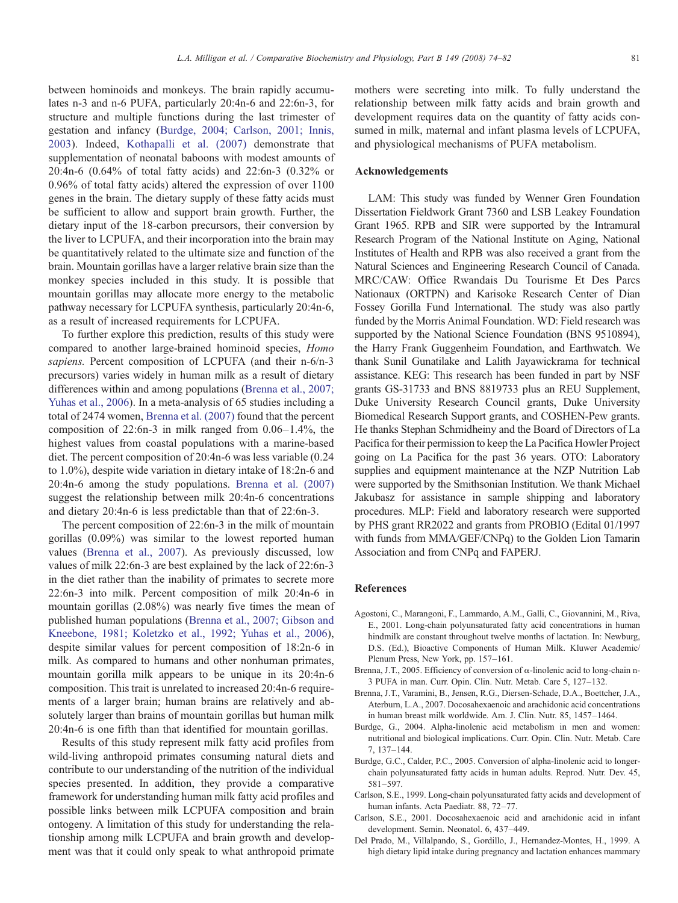<span id="page-7-0"></span>between hominoids and monkeys. The brain rapidly accumulates n-3 and n-6 PUFA, particularly 20:4n-6 and 22:6n-3, for structure and multiple functions during the last trimester of gestation and infancy (Burdge, 2004; Carlson, 2001; Innis, 2003). Indeed, [Kothapalli et al. \(2007\)](#page-8-0) demonstrate that supplementation of neonatal baboons with modest amounts of 20:4n-6 (0.64% of total fatty acids) and 22:6n-3 (0.32% or 0.96% of total fatty acids) altered the expression of over 1100 genes in the brain. The dietary supply of these fatty acids must be sufficient to allow and support brain growth. Further, the dietary input of the 18-carbon precursors, their conversion by the liver to LCPUFA, and their incorporation into the brain may be quantitatively related to the ultimate size and function of the brain. Mountain gorillas have a larger relative brain size than the monkey species included in this study. It is possible that mountain gorillas may allocate more energy to the metabolic pathway necessary for LCPUFA synthesis, particularly 20:4n-6, as a result of increased requirements for LCPUFA.

To further explore this prediction, results of this study were compared to another large-brained hominoid species, Homo sapiens. Percent composition of LCPUFA (and their n-6/n-3 precursors) varies widely in human milk as a result of dietary differences within and among populations (Brenna et al., 2007; Yuhas et al., 2006). In a meta-analysis of 65 studies including a total of 2474 women, Brenna et al. (2007) found that the percent composition of 22:6n-3 in milk ranged from 0.06–1.4%, the highest values from coastal populations with a marine-based diet. The percent composition of 20:4n-6 was less variable (0.24 to 1.0%), despite wide variation in dietary intake of 18:2n-6 and 20:4n-6 among the study populations. Brenna et al. (2007) suggest the relationship between milk 20:4n-6 concentrations and dietary 20:4n-6 is less predictable than that of 22:6n-3.

The percent composition of 22:6n-3 in the milk of mountain gorillas (0.09%) was similar to the lowest reported human values (Brenna et al., 2007). As previously discussed, low values of milk 22:6n-3 are best explained by the lack of 22:6n-3 in the diet rather than the inability of primates to secrete more 22:6n-3 into milk. Percent composition of milk 20:4n-6 in mountain gorillas (2.08%) was nearly five times the mean of published human populations (Brenna et al., 2007; Gibson and Kneebone, 1981; Koletzko et al., 1992; Yuhas et al., 2006), despite similar values for percent composition of 18:2n-6 in milk. As compared to humans and other nonhuman primates, mountain gorilla milk appears to be unique in its 20:4n-6 composition. This trait is unrelated to increased 20:4n-6 requirements of a larger brain; human brains are relatively and absolutely larger than brains of mountain gorillas but human milk 20:4n-6 is one fifth than that identified for mountain gorillas.

Results of this study represent milk fatty acid profiles from wild-living anthropoid primates consuming natural diets and contribute to our understanding of the nutrition of the individual species presented. In addition, they provide a comparative framework for understanding human milk fatty acid profiles and possible links between milk LCPUFA composition and brain ontogeny. A limitation of this study for understanding the relationship among milk LCPUFA and brain growth and development was that it could only speak to what anthropoid primate mothers were secreting into milk. To fully understand the relationship between milk fatty acids and brain growth and development requires data on the quantity of fatty acids consumed in milk, maternal and infant plasma levels of LCPUFA, and physiological mechanisms of PUFA metabolism.

## Acknowledgements

LAM: This study was funded by Wenner Gren Foundation Dissertation Fieldwork Grant 7360 and LSB Leakey Foundation Grant 1965. RPB and SIR were supported by the Intramural Research Program of the National Institute on Aging, National Institutes of Health and RPB was also received a grant from the Natural Sciences and Engineering Research Council of Canada. MRC/CAW: Office Rwandais Du Tourisme Et Des Parcs Nationaux (ORTPN) and Karisoke Research Center of Dian Fossey Gorilla Fund International. The study was also partly funded by the Morris Animal Foundation. WD: Field research was supported by the National Science Foundation (BNS 9510894), the Harry Frank Guggenheim Foundation, and Earthwatch. We thank Sunil Gunatilake and Lalith Jayawickrama for technical assistance. KEG: This research has been funded in part by NSF grants GS-31733 and BNS 8819733 plus an REU Supplement, Duke University Research Council grants, Duke University Biomedical Research Support grants, and COSHEN-Pew grants. He thanks Stephan Schmidheiny and the Board of Directors of La Pacifica for their permission to keep the La Pacifica Howler Project going on La Pacifica for the past 36 years. OTO: Laboratory supplies and equipment maintenance at the NZP Nutrition Lab were supported by the Smithsonian Institution. We thank Michael Jakubasz for assistance in sample shipping and laboratory procedures. MLP: Field and laboratory research were supported by PHS grant RR2022 and grants from PROBIO (Edital 01/1997 with funds from MMA/GEF/CNPq) to the Golden Lion Tamarin Association and from CNPq and FAPERJ.

#### References

- Agostoni, C., Marangoni, F., Lammardo, A.M., Galli, C., Giovannini, M., Riva, E., 2001. Long-chain polyunsaturated fatty acid concentrations in human hindmilk are constant throughout twelve months of lactation. In: Newburg, D.S. (Ed.), Bioactive Components of Human Milk. Kluwer Academic/ Plenum Press, New York, pp. 157–161.
- Brenna, J.T., 2005. Efficiency of conversion of α-linolenic acid to long-chain n-3 PUFA in man. Curr. Opin. Clin. Nutr. Metab. Care 5, 127–132.
- Brenna, J.T., Varamini, B., Jensen, R.G., Diersen-Schade, D.A., Boettcher, J.A., Aterburn, L.A., 2007. Docosahexaenoic and arachidonic acid concentrations in human breast milk worldwide. Am. J. Clin. Nutr. 85, 1457–1464.
- Burdge, G., 2004. Alpha-linolenic acid metabolism in men and women: nutritional and biological implications. Curr. Opin. Clin. Nutr. Metab. Care 7, 137–144.
- Burdge, G.C., Calder, P.C., 2005. Conversion of alpha-linolenic acid to longerchain polyunsaturated fatty acids in human adults. Reprod. Nutr. Dev. 45, 581–597.
- Carlson, S.E., 1999. Long-chain polyunsaturated fatty acids and development of human infants. Acta Paediatr. 88, 72–77.
- Carlson, S.E., 2001. Docosahexaenoic acid and arachidonic acid in infant development. Semin. Neonatol. 6, 437–449.
- Del Prado, M., Villalpando, S., Gordillo, J., Hernandez-Montes, H., 1999. A high dietary lipid intake during pregnancy and lactation enhances mammary